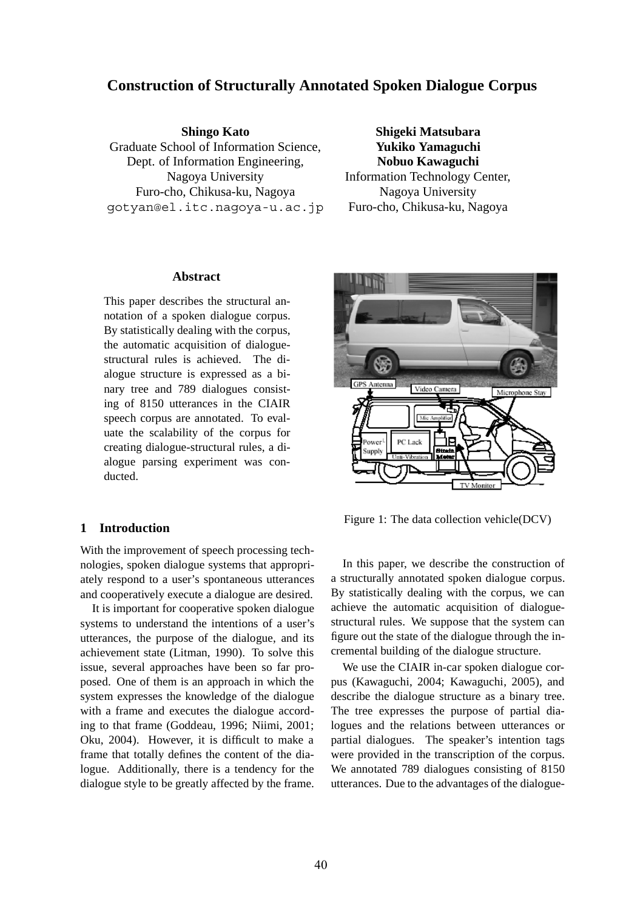# **Construction of Structurally Annotated Spoken Dialogue Corpus**

### **Shingo Kato**

Graduate School of Information Science, Dept. of Information Engineering, Nagoya University Furo-cho, Chikusa-ku, Nagoya gotyan@el.itc.nagoya-u.ac.jp

**Shigeki Matsubara Yukiko Yamaguchi Nobuo Kawaguchi** Information Technology Center, Nagoya University Furo-cho, Chikusa-ku, Nagoya

### **Abstract**

This paper describes the structural annotation of a spoken dialogue corpus. By statistically dealing with the corpus, the automatic acquisition of dialoguestructural rules is achieved. The dialogue structure is expressed as a binary tree and 789 dialogues consisting of 8150 utterances in the CIAIR speech corpus are annotated. To evaluate the scalability of the corpus for creating dialogue-structural rules, a dialogue parsing experiment was conducted.

### **1 Introduction**

With the improvement of speech processing technologies, spoken dialogue systems that appropriately respond to a user's spontaneous utterances and cooperatively execute a dialogue are desired.

It is important for cooperative spoken dialogue systems to understand the intentions of a user's utterances, the purpose of the dialogue, and its achievement state (Litman, 1990). To solve this issue, several approaches have been so far proposed. One of them is an approach in which the system expresses the knowledge of the dialogue with a frame and executes the dialogue according to that frame (Goddeau, 1996; Niimi, 2001; Oku, 2004). However, it is difficult to make a frame that totally defines the content of the dialogue. Additionally, there is a tendency for the dialogue style to be greatly affected by the frame.



Figure 1: The data collection vehicle(DCV)

In this paper, we describe the construction of a structurally annotated spoken dialogue corpus. By statistically dealing with the corpus, we can achieve the automatic acquisition of dialoguestructural rules. We suppose that the system can figure out the state of the dialogue through the incremental building of the dialogue structure.

We use the CIAIR in-car spoken dialogue corpus (Kawaguchi, 2004; Kawaguchi, 2005), and describe the dialogue structure as a binary tree. The tree expresses the purpose of partial dialogues and the relations between utterances or partial dialogues. The speaker's intention tags were provided in the transcription of the corpus. We annotated 789 dialogues consisting of 8150 utterances. Due to the advantages of the dialogue-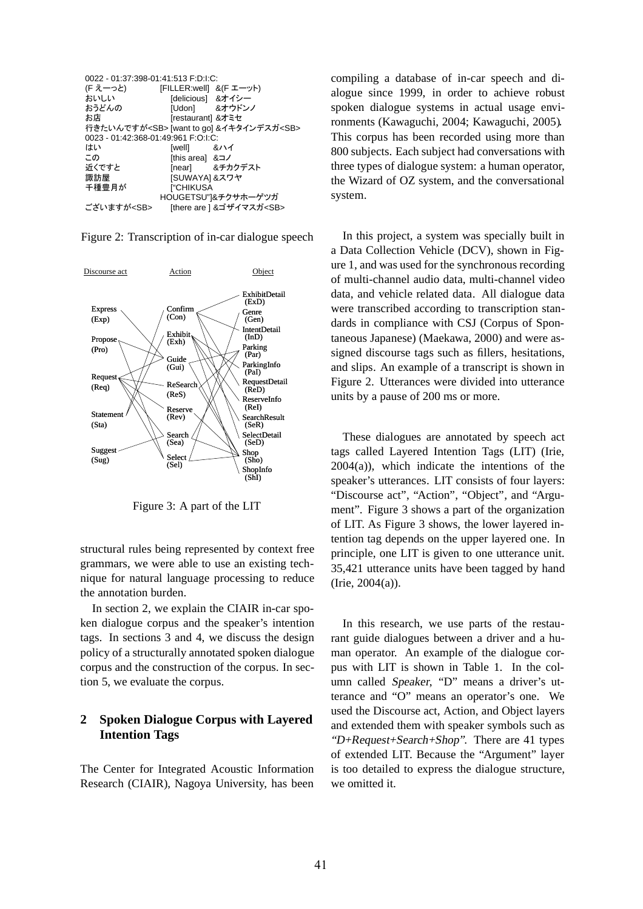| 0022 - 01:37:398-01:41:513 F:D:I:C: |                         |                                                        |  |  |  |
|-------------------------------------|-------------------------|--------------------------------------------------------|--|--|--|
| (F えーっと)                            | [FILLER:well] &(F エーット) |                                                        |  |  |  |
| おいしい                                | [delicious] &オイシー       |                                                        |  |  |  |
| おうどんの                               |                         | [Udon] &オウドンノ                                          |  |  |  |
| お店                                  | [restaurant] &オミセ       |                                                        |  |  |  |
|                                     |                         | 行きたいんですが <sb> [want to go] &amp;イキタインデスガ<sb></sb></sb> |  |  |  |
| 0023 - 01:42:368-01:49:961 F:O:I:C: |                         |                                                        |  |  |  |
| はい                                  | [well] &ハイ              |                                                        |  |  |  |
| この                                  | fthis areal &コノ         |                                                        |  |  |  |
| 近くですと                               |                         | [near] &チカクデスト                                         |  |  |  |
| 諏訪屋                                 | [SUWAYA] &スワヤ           |                                                        |  |  |  |
| 千種豊月が                               | <b>I"CHIKUSA</b>        |                                                        |  |  |  |
|                                     |                         | HOUGETSU"1&チクサホーゲツガ                                    |  |  |  |
| ございますが <sb></sb>                    |                         | [there are ] &ゴザイマスガ <sb></sb>                         |  |  |  |

Figure 2: Transcription of in-car dialogue speech



Figure 3: A part of the LIT

structural rules being represented by context free grammars, we were able to use an existing technique for natural language processing to reduce the annotation burden.

In section 2, we explain the CIAIR in-car spoken dialogue corpus and the speaker's intention tags. In sections 3 and 4, we discuss the design policy of a structurally annotated spoken dialogue corpus and the construction of the corpus. In section 5, we evaluate the corpus.

## **2 Spoken Dialogue Corpus with Layered Intention Tags**

The Center for Integrated Acoustic Information Research (CIAIR), Nagoya University, has been

compiling a database of in-car speech and dialogue since 1999, in order to achieve robust spoken dialogue systems in actual usage environments (Kawaguchi, 2004; Kawaguchi, 2005). This corpus has been recorded using more than 800 subjects. Each subject had conversations with three types of dialogue system: a human operator, the Wizard of OZ system, and the conversational system.

In this project, a system was specially built in a Data Collection Vehicle (DCV), shown in Figure 1, and was used for the synchronous recording of multi-channel audio data, multi-channel video data, and vehicle related data. All dialogue data were transcribed according to transcription standards in compliance with CSJ (Corpus of Spontaneous Japanese) (Maekawa, 2000) and were assigned discourse tags such as fillers, hesitations, and slips. An example of a transcript is shown in Figure 2. Utterances were divided into utterance units by a pause of 200 ms or more.

These dialogues are annotated by speech act tags called Layered Intention Tags (LIT) (Irie,  $2004(a)$ , which indicate the intentions of the speaker's utterances. LIT consists of four layers: "Discourse act", "Action", "Object", and "Argument". Figure 3 shows a part of the organization of LIT. As Figure 3 shows, the lower layered intention tag depends on the upper layered one. In principle, one LIT is given to one utterance unit. 35,421 utterance units have been tagged by hand (Irie, 2004(a)).

In this research, we use parts of the restaurant guide dialogues between a driver and a human operator. An example of the dialogue corpus with LIT is shown in Table 1. In the column called Speaker, "D" means a driver's utterance and "O" means an operator's one. We used the Discourse act, Action, and Object layers and extended them with speaker symbols such as "D+Request+Search+Shop". There are 41 types of extended LIT. Because the "Argument" layer is too detailed to express the dialogue structure, we omitted it.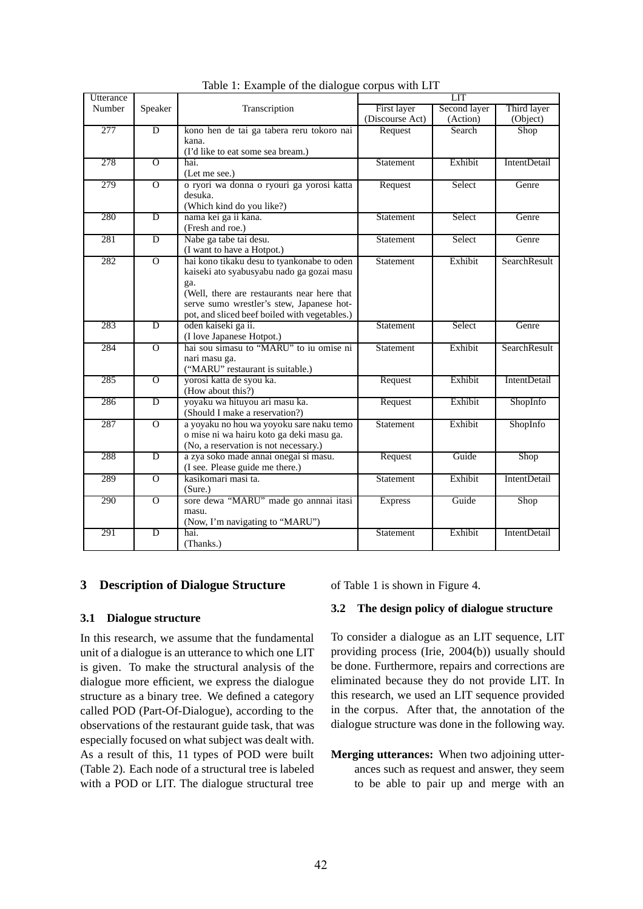| Utterance |                |                                                                      | <b>LIT</b>      |              |                     |
|-----------|----------------|----------------------------------------------------------------------|-----------------|--------------|---------------------|
| Number    | Speaker        | Transcription                                                        | First layer     | Second layer | Third layer         |
|           |                |                                                                      | (Discourse Act) | (Action)     | (Object)            |
| 277       | $\overline{D}$ | kono hen de tai ga tabera reru tokoro nai                            | Request         | Search       | Shop                |
|           |                | kana.                                                                |                 |              |                     |
|           |                | (I'd like to eat some sea bream.)                                    |                 |              |                     |
| 278       | $\overline{O}$ | hai.                                                                 | Statement       | Exhibit      | <b>IntentDetail</b> |
|           |                | (Let me see.)                                                        |                 |              |                     |
| 279       | $\Omega$       | o ryori wa donna o ryouri ga yorosi katta                            | Request         | Select       | Genre               |
|           |                | desuka.                                                              |                 |              |                     |
|           |                | (Which kind do you like?)                                            |                 |              |                     |
| 280       | $\overline{D}$ | nama kei ga ii kana.                                                 | Statement       | Select       | Genre               |
|           |                | (Fresh and roe.)                                                     |                 |              |                     |
| 281       | $\overline{D}$ | Nabe ga tabe tai desu.                                               | Statement       | Select       | Genre               |
|           |                | (I want to have a Hotpot.)                                           |                 |              |                     |
| 282       | $\overline{O}$ | hai kono tikaku desu to tyankonabe to oden                           | Statement       | Exhibit      | SearchResult        |
|           |                | kaiseki ato syabusyabu nado ga gozai masu                            |                 |              |                     |
|           |                | ga.                                                                  |                 |              |                     |
|           |                | (Well, there are restaurants near here that                          |                 |              |                     |
|           |                | serve sumo wrestler's stew, Japanese hot-                            |                 |              |                     |
|           | $\overline{D}$ | pot, and sliced beef boiled with vegetables.)<br>oden kaiseki ga ii. |                 |              |                     |
| 283       |                | (I love Japanese Hotpot.)                                            | Statement       | Select       | Genre               |
| 284       | $\overline{0}$ | hai sou simasu to "MARU" to iu omise ni                              | Statement       | Exhibit      | SearchResult        |
|           |                | nari masu ga.                                                        |                 |              |                     |
|           |                | ("MARU" restaurant is suitable.)                                     |                 |              |                     |
| 285       | $\overline{O}$ | yorosi katta de syou ka.                                             | Request         | Exhibit      | <b>IntentDetail</b> |
|           |                | (How about this?)                                                    |                 |              |                     |
| 286       | $\overline{D}$ | yoyaku wa hituyou ari masu ka.                                       | Request         | Exhibit      | ShopInfo            |
|           |                | (Should I make a reservation?)                                       |                 |              |                     |
| 287       | $\overline{O}$ | a yoyaku no hou wa yoyoku sare naku temo                             | Statement       | Exhibit      | ShopInfo            |
|           |                | o mise ni wa hairu koto ga deki masu ga.                             |                 |              |                     |
|           |                | (No, a reservation is not necessary.)                                |                 |              |                     |
| 288       | $\overline{D}$ | a zya soko made annai onegai si masu.                                | Request         | Guide        | Shop                |
|           |                | (I see. Please guide me there.)                                      |                 |              |                     |
| 289       | $\overline{O}$ | kasikomari masi ta.                                                  | Statement       | Exhibit      | <b>IntentDetail</b> |
|           |                | (Sure.)                                                              |                 |              |                     |
| 290       | $\overline{0}$ | sore dewa "MARU" made go annnai itasi                                | <b>Express</b>  | Guide        | Shop                |
|           |                | masu.                                                                |                 |              |                     |
|           |                | (Now, I'm navigating to "MARU")                                      |                 |              |                     |
| 291       | D              | hai.                                                                 | Statement       | Exhibit      | <b>IntentDetail</b> |
|           |                | (Thanks.)                                                            |                 |              |                     |

Table 1: Example of the dialogue corpus with LIT

# **3 Description of Dialogue Structure**

## **3.1 Dialogue structure**

In this research, we assume that the fundamental unit of a dialogue is an utterance to which one LIT is given. To make the structural analysis of the dialogue more efficient, we express the dialogue structure as a binary tree. We defined a category called POD (Part-Of-Dialogue), according to the observations of the restaurant guide task, that was especially focused on what subject was dealt with. As a result of this, 11 types of POD were built (Table 2). Each node of a structural tree is labeled with a POD or LIT. The dialogue structural tree of Table 1 is shown in Figure 4.

### **3.2 The design policy of dialogue structure**

To consider a dialogue as an LIT sequence, LIT providing process (Irie, 2004(b)) usually should be done. Furthermore, repairs and corrections are eliminated because they do not provide LIT. In this research, we used an LIT sequence provided in the corpus. After that, the annotation of the dialogue structure was done in the following way.

**Merging utterances:** When two adjoining utterances such as request and answer, they seem to be able to pair up and merge with an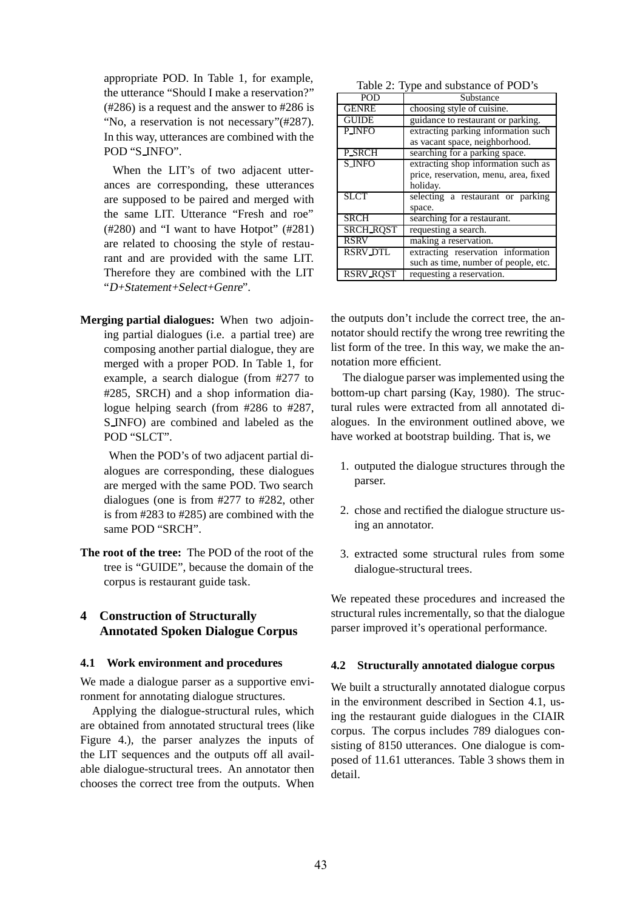appropriate POD. In Table 1, for example, the utterance "Should I make a reservation?" (#286) is a request and the answer to #286 is "No, a reservation is not necessary"(#287). In this way, utterances are combined with the POD "S INFO".

When the LIT's of two adjacent utterances are corresponding, these utterances are supposed to be paired and merged with the same LIT. Utterance "Fresh and roe" (#280) and "I want to have Hotpot" (#281) are related to choosing the style of restaurant and are provided with the same LIT. Therefore they are combined with the LIT "D+Statement+Select+Genre".

**Merging partial dialogues:** When two adjoining partial dialogues (i.e. a partial tree) are composing another partial dialogue, they are merged with a proper POD. In Table 1, for example, a search dialogue (from #277 to #285, SRCH) and a shop information dialogue helping search (from #286 to #287, S INFO) are combined and labeled as the POD "SLCT".

When the POD's of two adjacent partial dialogues are corresponding, these dialogues are merged with the same POD. Two search dialogues (one is from #277 to #282, other is from #283 to #285) are combined with the same POD "SRCH".

**The root of the tree:** The POD of the root of the tree is "GUIDE", because the domain of the corpus is restaurant guide task.

# **4 Construction of Structurally Annotated Spoken Dialogue Corpus**

### **4.1 Work environment and procedures**

We made a dialogue parser as a supportive environment for annotating dialogue structures.

Applying the dialogue-structural rules, which are obtained from annotated structural trees (like Figure 4.), the parser analyzes the inputs of the LIT sequences and the outputs off all available dialogue-structural trees. An annotator then chooses the correct tree from the outputs. When

| <b>POD</b>       | Substance                             |
|------------------|---------------------------------------|
| <b>GENRE</b>     | choosing style of cuisine.            |
| <b>GUIDE</b>     | guidance to restaurant or parking.    |
| <b>P_INFO</b>    | extracting parking information such   |
|                  | as vacant space, neighborhood.        |
| <b>P_SRCH</b>    | searching for a parking space.        |
| <b>S_INFO</b>    | extracting shop information such as   |
|                  | price, reservation, menu, area, fixed |
|                  | holiday.                              |
| <b>SLCT</b>      | selecting a restaurant or parking     |
|                  | space.                                |
| <b>SRCH</b>      | searching for a restaurant.           |
| <b>SRCH_ROST</b> | requesting a search.                  |
| <b>RSRV</b>      | making a reservation.                 |
| <b>RSRV_DTL</b>  | extracting reservation information    |
|                  | such as time, number of people, etc.  |
| <b>RSRV ROST</b> | requesting a reservation.             |

the outputs don't include the correct tree, the annotator should rectify the wrong tree rewriting the list form of the tree. In this way, we make the annotation more efficient.

The dialogue parser was implemented using the bottom-up chart parsing (Kay, 1980). The structural rules were extracted from all annotated dialogues. In the environment outlined above, we have worked at bootstrap building. That is, we

- 1. outputed the dialogue structures through the parser.
- 2. chose and rectified the dialogue structure using an annotator.
- 3. extracted some structural rules from some dialogue-structural trees.

We repeated these procedures and increased the structural rules incrementally, so that the dialogue parser improved it's operational performance.

### **4.2 Structurally annotated dialogue corpus**

We built a structurally annotated dialogue corpus in the environment described in Section 4.1, using the restaurant guide dialogues in the CIAIR corpus. The corpus includes 789 dialogues consisting of 8150 utterances. One dialogue is composed of 11.61 utterances. Table 3 shows them in detail.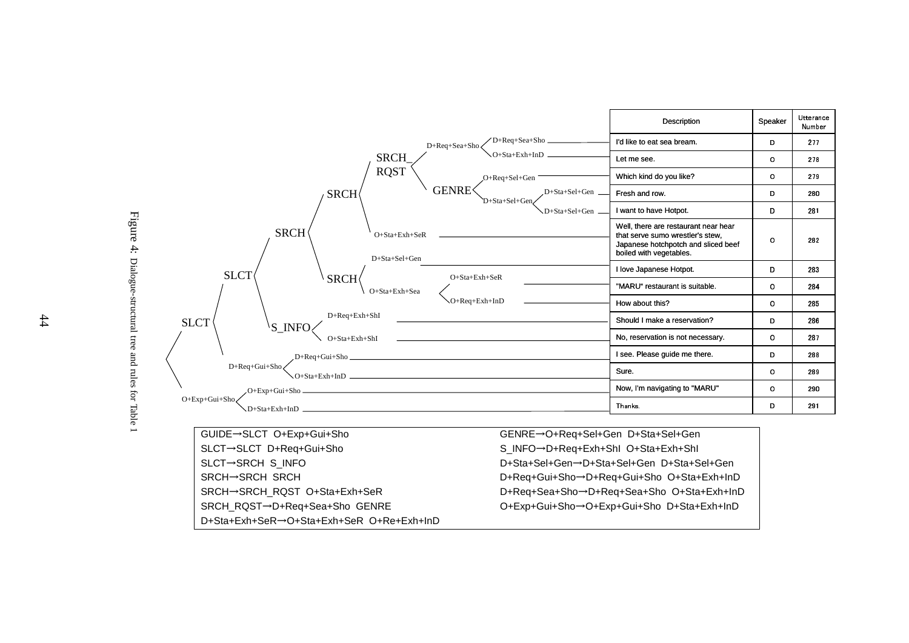

Figure 4: Dialogue-structural tree and rules for Table 1 Dialogue-structural tree and rules for Table 1

GUIDE→SLCT O+Exp+Gui+Sho GENRE SLCT→SLCT D+Req+Gui+Sho S\_INFO D+Req+Exh+ShI O+Sta+Exh+ShI O+Req+Sel+Gen D+Sta+Sel+GenSLCT→SRCH S\_INFO D+Sta+Sel+Gen D+Sta+Sel+Gen D+Sta+Sel+Gen $\mathsf{S}\mathsf{R}\mathsf{C}\mathsf{H}\mathsf{\rightarrow}\mathsf{S}\mathsf{R}\mathsf{C}\mathsf{H}$  D+Req+Gui+Sho D+Req+Gui+Sho O+Sta+Exh+InDSRCH→SRCH\_RQST O+Sta+Exh+SeR D+Req+Sea+Sho D+Req+Sea+Sho O+Sta+Exh+InD SRCH\_RQSTD+Req+Sea+Sho GENRE O+Exp+Gui+Sho O+Exp+Gui+Sho D+Sta+Exh+InDD+Sta+Exh+SeR→O+Sta+Exh+SeR O+Re+Exh+InD

 $44$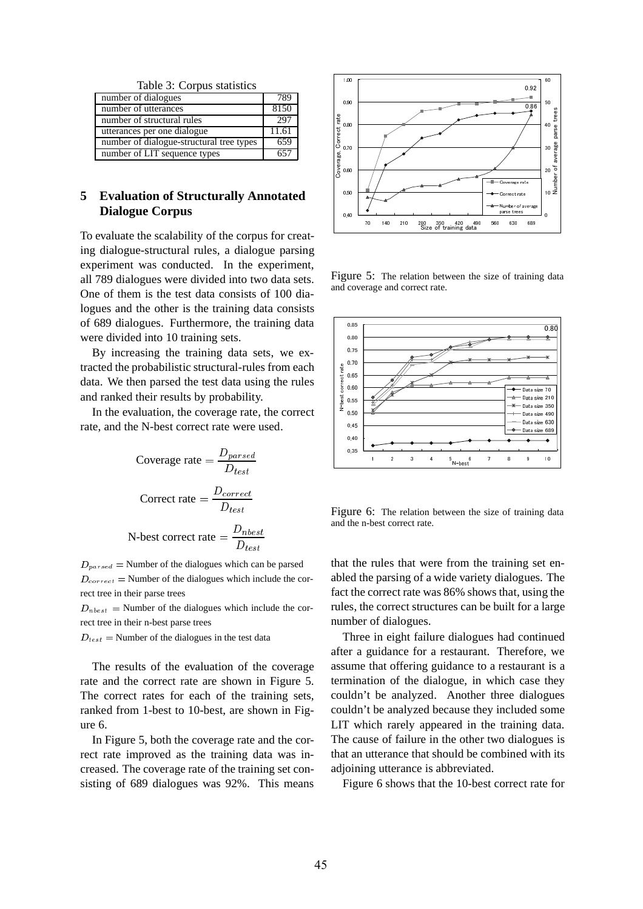Table 3: Corpus statistics

| number of dialogues                      | 789   |
|------------------------------------------|-------|
| number of utterances                     | 8150  |
| number of structural rules               | 297   |
| utterances per one dialogue              | 11.61 |
| number of dialogue-structural tree types | 659   |
| number of LIT sequence types             |       |

# **5 Evaluation of Structurally Annotated Dialogue Corpus**

To evaluate the scalability of the corpus for creating dialogue-structural rules, a dialogue parsing experiment was conducted. In the experiment, all 789 dialogues were divided into two data sets. One of them is the test data consists of 100 dialogues and the other is the training data consists of 689 dialogues. Furthermore, the training data were divided into 10 training sets.

By increasing the training data sets, we extracted the probabilistic structural-rules from each data. We then parsed the test data using the rules and ranked their results by probability.

In the evaluation, the coverage rate, the correct rate, and the N-best correct rate were used.

Coverage rate = 
$$
\frac{D_{parsed}}{D_{test}}
$$

\nCorrect rate = 
$$
\frac{D_{correct}}{D_{test}}
$$

\nN-best correct rate = 
$$
\frac{D_{nbest}}{D_{test}}
$$

 $D_{parsed}$  = Number of the dialogues which can be parsed  $D_{correct}$  = Number of the dialogues which include the correct tree in their parse trees

 $D_{nbest}$  = Number of the dialogues which include the correct tree in their n-best parse trees

 $D_{test}$  = Number of the dialogues in the test data

The results of the evaluation of the coverage rate and the correct rate are shown in Figure 5. The correct rates for each of the training sets, ranked from 1-best to 10-best, are shown in Figure 6.

In Figure 5, both the coverage rate and the correct rate improved as the training data was increased. The coverage rate of the training set consisting of 689 dialogues was 92%. This means



Figure 5: The relation between the size of training data and coverage and correct rate.



Figure 6: The relation between the size of training data and the n-best correct rate.

that the rules that were from the training set enabled the parsing of a wide variety dialogues. The fact the correct rate was 86% shows that, using the rules, the correct structures can be built for a large number of dialogues.

Three in eight failure dialogues had continued after a guidance for a restaurant. Therefore, we assume that offering guidance to a restaurant is a termination of the dialogue, in which case they couldn't be analyzed. Another three dialogues couldn't be analyzed because they included some LIT which rarely appeared in the training data. The cause of failure in the other two dialogues is that an utterance that should be combined with its adjoining utterance is abbreviated.

Figure 6 shows that the 10-best correct rate for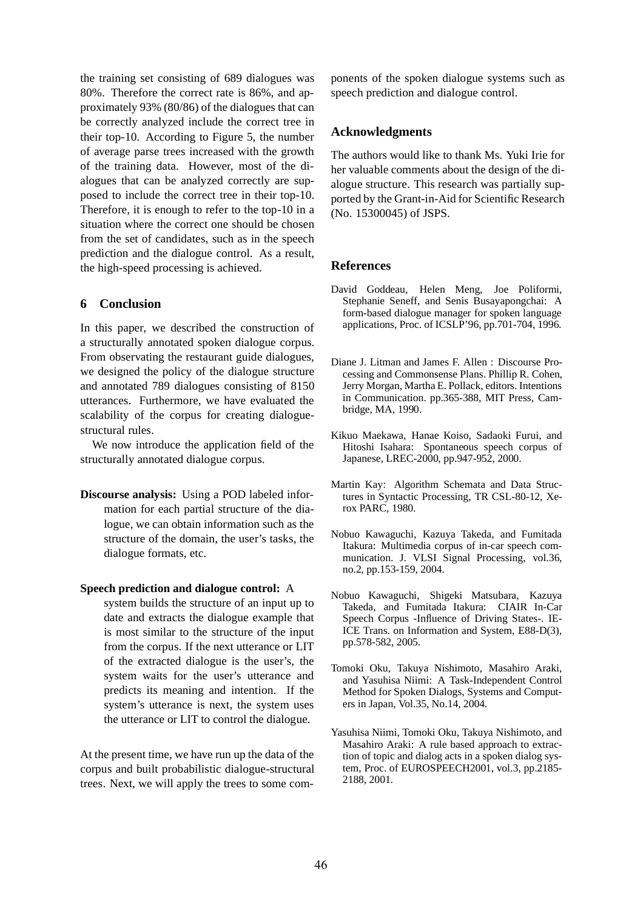the training set consisting of 689 dialogues was 80%. Therefore the correct rate is 86%, and approximately 93% (80/86) of the dialogues that can be correctly analyzed include the correct tree in their top-10. According to Figure 5, the number of average parse trees increased with the growth of the training data. However, most of the dialogues that can be analyzed correctly are supposed to include the correct tree in their top-10. Therefore, it is enough to refer to the top-10 in a situation where the correct one should be chosen from the set of candidates, such as in the speech prediction and the dialogue control. As a result, the high-speed processing is achieved.

## **6 Conclusion**

In this paper, we described the construction of a structurally annotated spoken dialogue corpus. From observating the restaurant guide dialogues, we designed the policy of the dialogue structure and annotated 789 dialogues consisting of 8150 utterances. Furthermore, we have evaluated the scalability of the corpus for creating dialoguestructural rules.

We now introduce the application field of the structurally annotated dialogue corpus.

**Discourse analysis:** Using a POD labeled information for each partial structure of the dialogue, we can obtain information such as the structure of the domain, the user's tasks, the dialogue formats, etc.

### **Speech prediction and dialogue control:** A

system builds the structure of an input up to date and extracts the dialogue example that is most similar to the structure of the input from the corpus. If the next utterance or LIT of the extracted dialogue is the user's, the system waits for the user's utterance and predicts its meaning and intention. If the system's utterance is next, the system uses the utterance or LIT to control the dialogue.

At the present time, we have run up the data of the corpus and built probabilistic dialogue-structural trees. Next, we will apply the trees to some components of the spoken dialogue systems such as speech prediction and dialogue control.

## **Acknowledgments**

The authors would like to thank Ms. Yuki Irie for her valuable comments about the design of the dialogue structure. This research was partially supported by the Grant-in-Aid for Scientific Research (No. 15300045) of JSPS.

## **References**

- David Goddeau, Helen Meng, Joe Poliformi, Stephanie Seneff, and Senis Busayapongchai: A form-based dialogue manager for spoken language applications, Proc. of ICSLP'96, pp.701-704, 1996.
- Diane J. Litman and James F. Allen : Discourse Processing and Commonsense Plans. Phillip R. Cohen, Jerry Morgan, Martha E. Pollack, editors. Intentions in Communication. pp.365-388, MIT Press, Cambridge, MA, 1990.
- Kikuo Maekawa, Hanae Koiso, Sadaoki Furui, and Hitoshi Isahara: Spontaneous speech corpus of Japanese, LREC-2000, pp.947-952, 2000.
- Martin Kay: Algorithm Schemata and Data Structures in Syntactic Processing, TR CSL-80-12, Xerox PARC, 1980.
- Nobuo Kawaguchi, Kazuya Takeda, and Fumitada Itakura: Multimedia corpus of in-car speech communication. J. VLSI Signal Processing, vol.36, no.2, pp.153-159, 2004.
- Nobuo Kawaguchi, Shigeki Matsubara, Kazuya Takeda, and Fumitada Itakura: CIAIR In-Car Speech Corpus -Influence of Driving States-. IE-ICE Trans. on Information and System, E88-D(3), pp.578-582, 2005.
- Tomoki Oku, Takuya Nishimoto, Masahiro Araki, and Yasuhisa Niimi: A Task-Independent Control Method for Spoken Dialogs, Systems and Computers in Japan, Vol.35, No.14, 2004.
- Yasuhisa Niimi, Tomoki Oku, Takuya Nishimoto, and Masahiro Araki: A rule based approach to extraction of topic and dialog acts in a spoken dialog system, Proc. of EUROSPEECH2001, vol.3, pp.2185- 2188, 2001.